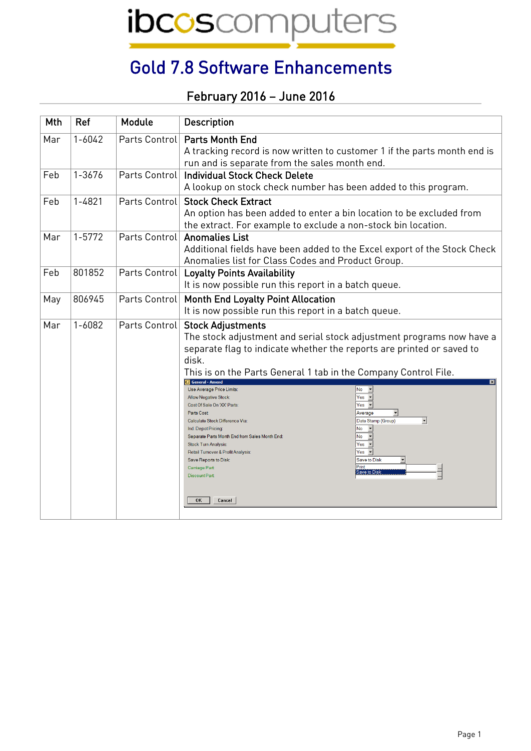ibcoscomputers

## Gold 7.8 Software Enhancements

## February 2016 – June 2016

| Mth | Ref        | Module        | <b>Description</b>                                                                                                                                                                                                                                                                                                                                                                                                                                                                                                                                                                                          |
|-----|------------|---------------|-------------------------------------------------------------------------------------------------------------------------------------------------------------------------------------------------------------------------------------------------------------------------------------------------------------------------------------------------------------------------------------------------------------------------------------------------------------------------------------------------------------------------------------------------------------------------------------------------------------|
| Mar | $1 - 6042$ |               | Parts Control   Parts Month End<br>A tracking record is now written to customer 1 if the parts month end is<br>run and is separate from the sales month end.                                                                                                                                                                                                                                                                                                                                                                                                                                                |
| Feb | 1-3676     | Parts Control | <b>Individual Stock Check Delete</b><br>A lookup on stock check number has been added to this program.                                                                                                                                                                                                                                                                                                                                                                                                                                                                                                      |
| Feb | $1 - 4821$ |               | Parts Control Stock Check Extract<br>An option has been added to enter a bin location to be excluded from<br>the extract. For example to exclude a non-stock bin location.                                                                                                                                                                                                                                                                                                                                                                                                                                  |
| Mar | 1-5772     | Parts Control | <b>Anomalies List</b><br>Additional fields have been added to the Excel export of the Stock Check<br>Anomalies list for Class Codes and Product Group.                                                                                                                                                                                                                                                                                                                                                                                                                                                      |
| Feb | 801852     |               | Parts Control   Loyalty Points Availability<br>It is now possible run this report in a batch queue.                                                                                                                                                                                                                                                                                                                                                                                                                                                                                                         |
| May | 806945     |               | Parts Control   Month End Loyalty Point Allocation<br>It is now possible run this report in a batch queue.                                                                                                                                                                                                                                                                                                                                                                                                                                                                                                  |
| Mar | 1-6082     | Parts Control | <b>Stock Adjustments</b><br>The stock adjustment and serial stock adjustment programs now have a<br>separate flag to indicate whether the reports are printed or saved to<br>disk.<br>This is on the Parts General 1 tab in the Company Control File.<br>General - Amend<br>$\blacksquare$                                                                                                                                                                                                                                                                                                                  |
|     |            |               | Use Average Price Limits:<br>$No$ $\rightarrow$<br>$Yes -$<br><b>Allow Negative Stock:</b><br>$Yes -$<br>Cost Of Sale On 'XX' Parts:<br>Parts Cost:<br>Average<br>$\overline{\phantom{a}}$<br>Date Stamp (Group)<br>Calculate Stock Difference Via<br>$\overline{ }$<br>No<br>Ind. Depot Pricing:<br>$\sqrt{N_0}$ $\sqrt{ }$<br>Separate Parts Month End from Sales Month End:<br>$Yes -$<br><b>Stock Turn Analysis:</b><br>$Yes -$<br>Retail Turnover & Profit Analysis:<br><b>Save to Disk</b><br>Save Reports to Disk:<br>Print<br>Carriage Part<br>Save to Disk<br><b>Discount Part</b><br>OK<br>Cancel |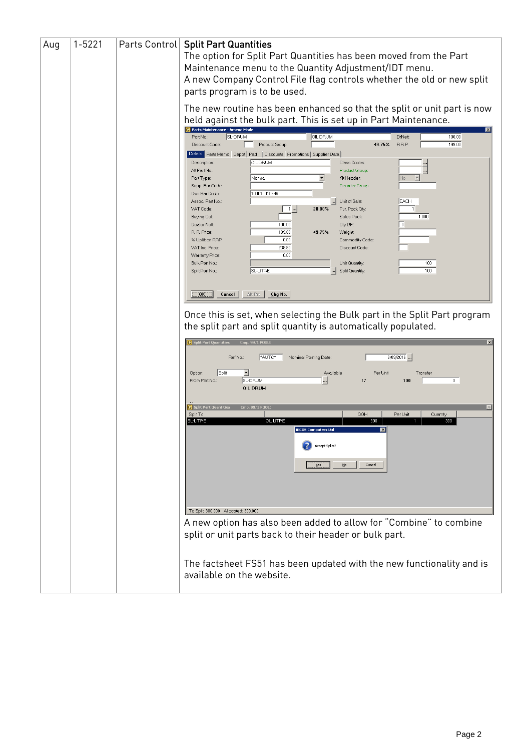| Aug | $1 - 5221$ | Parts Control | <b>Split Part Quantities</b><br>The option for Split Part Quantities has been moved from the Part<br>Maintenance menu to the Quantity Adjustment/IDT menu.<br>A new Company Control File flag controls whether the old or new split<br>parts program is to be used. |
|-----|------------|---------------|---------------------------------------------------------------------------------------------------------------------------------------------------------------------------------------------------------------------------------------------------------------------|
|     |            |               | The new routine has been enhanced so that the split or unit part is now<br>held against the bulk part. This is set up in Part Maintenance.                                                                                                                          |
|     |            |               | Parts Maintenance - Amend Mode<br>SL-DRUM<br>OIL DRUM<br>100.00<br>Part No.:<br>D/Nett:<br>Discount Code:<br>Product Group:<br>RRP:<br>199.00<br>49.75%<br>Details Parts Memo   Depot   Pad   Discounts   Promotions   Supplier Data                                |
|     |            |               | OIL DRUM<br>Description:<br>Class Codes:<br>Alt Part No.<br><b>Product Group:</b><br>Normal<br>Part Type:<br>Kit Header:<br>Supp. Bar Code:<br>Reorder Group                                                                                                        |
|     |            |               | 100010010546<br>Own Bar Code:<br><b>EACH</b><br>Assoc. Part No.:<br>Unit of Sale:<br>20.00%<br>VAT Code:<br>$1 -$<br>Pur. Pack Qty:<br>Sales Pack:<br>1.000<br><b>Buying Cat</b>                                                                                    |
|     |            |               | 100.00<br>Qty DP:<br>$\overline{0}$<br>Dealer Nett:<br>199.00<br>49.75%<br>R. R. Price:<br>Weight:<br>0.00<br>% Uplift on RRP:<br>Commodity Code:<br>238.80<br>Discount Code<br>VAT Inc. Price:                                                                     |
|     |            |               | 0.00<br>Warranty Price:<br>100 <sub>1</sub><br>Bulk Part No.<br>Unit Quantity:<br>100<br>SL-LITRE<br>Split Quantity:<br>Split Part No.                                                                                                                              |
|     |            |               | Alt Prt<br>$Chg$ No.<br>OK<br>Cancel<br>Once this is set, when selecting the Bulk part in the Split Part program                                                                                                                                                    |
|     |            |               | the split part and split quantity is automatically populated.<br><b>C</b> Split Part Quantities<br>Cmp. 99/1 POOL                                                                                                                                                   |
|     |            |               | *AUTO*<br>$8/09/2016$<br>Ref No.:<br>Nominal Posting Date:<br>Split<br>Per Unit<br>Option:<br>≛<br>Available<br>Transfer                                                                                                                                            |
|     |            |               | SL-DRUM<br>100<br>3<br>From Part No.:<br>17<br>OIL DRUM<br><b>C</b> Split Part Quantitie<br>Cmp. 99/1 POOL                                                                                                                                                          |
|     |            |               | Split To<br>QOH<br>Per Unit<br>Quantity<br><b>SL-LITRE</b><br>OIL LITRE<br>300<br>300<br><b>IBCOS Computers Ltd</b><br>$\mathbf{E}$<br>Accept Splits?<br>Cancel<br>No.                                                                                              |
|     |            |               | To Split 300.000 Allocated: 300.000                                                                                                                                                                                                                                 |
|     |            |               | A new option has also been added to allow for "Combine" to combine<br>split or unit parts back to their header or bulk part.                                                                                                                                        |
|     |            |               | The factsheet FS51 has been updated with the new functionality and is<br>available on the website.                                                                                                                                                                  |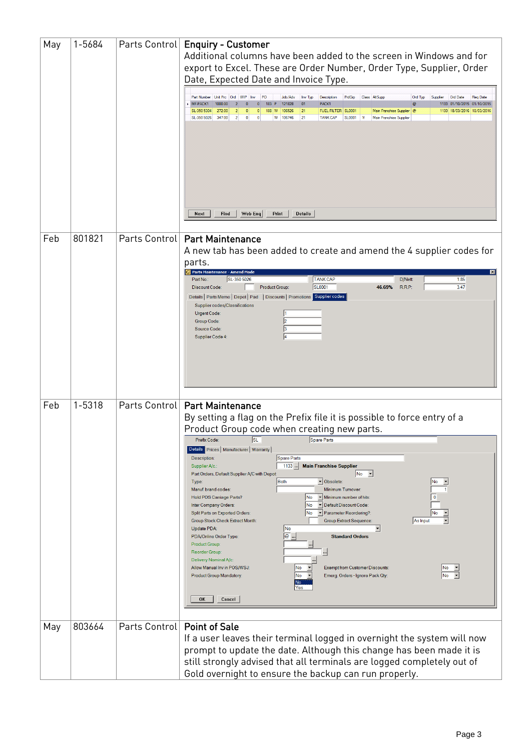| May | 1-5684 |                               | Parts Control   Enquiry - Customer<br>Additional columns have been added to the screen in Windows and for<br>export to Excel. These are Order Number, Order Type, Supplier, Order<br>Date, Expected Date and Invoice Type.<br>Part Number Unit Prc Ord WIP Inv<br>PQ<br>Job/Adv<br>Inv Typ<br>Description<br>PrdGrp<br>Class AltSupp<br>Ord Tvp<br><b>Ord Date</b><br><b>Reg Date</b><br>Supplier<br>MF-PACK1<br>PACK1<br>1000.00<br>183 P 121828<br>01<br>1133 01/10/2015 01/10/2015<br>$\overline{2}$<br>$\mathbf{0}$<br>$\overline{0}$<br>188 W 106526<br>1133 18/03/2016 18/03/2016<br>SL-350 5304<br>272.00<br>2 <sup>1</sup><br>$\overline{0}$<br> 0 <br> 21<br>FUEL FILTER   SL0001<br>Main Franchise Supplier @<br>347.00<br>$2 \mid$<br>SL-350 5026<br>$\bullet$<br>$\mathbf{0}$<br>W   106746<br>21<br><b>TANK CAP</b><br>SL0001 1f<br>Main Franchise Supplier<br>Web Enq<br>Print<br><b>Details</b><br>Next<br>Find                                                                                                                                                                                                                                                                                                         |
|-----|--------|-------------------------------|----------------------------------------------------------------------------------------------------------------------------------------------------------------------------------------------------------------------------------------------------------------------------------------------------------------------------------------------------------------------------------------------------------------------------------------------------------------------------------------------------------------------------------------------------------------------------------------------------------------------------------------------------------------------------------------------------------------------------------------------------------------------------------------------------------------------------------------------------------------------------------------------------------------------------------------------------------------------------------------------------------------------------------------------------------------------------------------------------------------------------------------------------------------------------------------------------------------------------------------|
| Feb | 801821 | Parts Control                 | <b>Part Maintenance</b><br>A new tab has been added to create and amend the 4 supplier codes for<br>parts.<br>Parts Maintenance - Amend Mode<br>$\vert x \vert$<br>SL-350 5026<br><b>TANK CAP</b><br>Part No.:<br>1.85<br>D/Nett:<br>SL0001<br>3.47<br><b>Discount Code:</b><br><b>Product Group:</b><br>46.69%<br>R.R.P:<br>Details   Parts Memo   Depot   Pad   Discounts   Promotions   Supplier codes<br>Supplier codes/Classifications<br>Urgent Code:<br><b>Group Code:</b><br> 3 <br>Source Code:<br>Supplier Code 4:                                                                                                                                                                                                                                                                                                                                                                                                                                                                                                                                                                                                                                                                                                           |
| Feb | 1-5318 |                               | Parts Control   Part Maintenance<br>By setting a flag on the Prefix file it is possible to force entry of a<br>Product Group code when creating new parts.<br><b>SL</b><br>Prefix Code:<br>Spare Parts<br>Details Prices   Manufacturer   Warranty<br>Spare Parts<br>Description:<br>$1133 -$<br><b>Main Franchise Supplier</b><br>Supplier A/c.:<br>No<br>Part Orders, Default Supplier A/C with Depot<br>$\blacktriangledown$<br>Both<br>v Obsolete:<br>Type:<br>No<br>$\overline{ }$<br>Manuf. brand codes:<br>Minimum Turnover:<br>Minimum number of hits:<br>Hold POS Carriage Parts?<br>No<br>$\Omega$<br>Default Discount Code:<br>Inter Company Orders:<br>No<br>Split Parts on Exported Orders:<br>No<br>Parameter Reordering?:<br>No<br><b>Group Stock Check Extract Month:</b><br><b>Group Extract Sequence:</b><br>As Input<br>Update PDA:<br>No<br>$\boxed{\circledcirc}$<br><b>Standard Orders</b><br>PDA/Online Order Type:<br>Product Group:<br>Reorder Group<br>$\blacksquare$<br>Delivery Nominal A/c:<br><b>Exempt from Customer Discounts:</b><br>Allow Manual Inv in POS/WSJ:<br>No<br>No<br>No<br>Emerg. Orders - Ignore Pack Qty:<br>No.<br><b>Product Group Mandatory:</b><br>No<br>Yes<br><b>OK</b><br>Cancel |
| May | 803664 | Parts Control   Point of Sale | If a user leaves their terminal logged in overnight the system will now<br>prompt to update the date. Although this change has been made it is<br>still strongly advised that all terminals are logged completely out of<br>Gold overnight to ensure the backup can run properly.                                                                                                                                                                                                                                                                                                                                                                                                                                                                                                                                                                                                                                                                                                                                                                                                                                                                                                                                                      |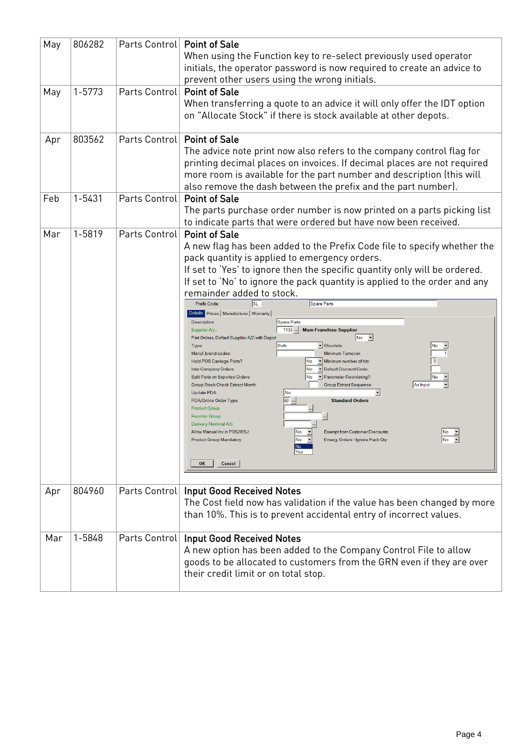| May | 806282 | Parts Control   Point of Sale | When using the Function key to re-select previously used operator<br>initials, the operator password is now required to create an advice to<br>prevent other users using the wrong initials.                                                                                                                                                                                                                                                                                                                                                                                                                                                                                                                                                                                                                                                                                                                                                                                                                                                                                                                                                                                                                                                                                                                                                                                                                                          |
|-----|--------|-------------------------------|---------------------------------------------------------------------------------------------------------------------------------------------------------------------------------------------------------------------------------------------------------------------------------------------------------------------------------------------------------------------------------------------------------------------------------------------------------------------------------------------------------------------------------------------------------------------------------------------------------------------------------------------------------------------------------------------------------------------------------------------------------------------------------------------------------------------------------------------------------------------------------------------------------------------------------------------------------------------------------------------------------------------------------------------------------------------------------------------------------------------------------------------------------------------------------------------------------------------------------------------------------------------------------------------------------------------------------------------------------------------------------------------------------------------------------------|
| May | 1-5773 | Parts Control Point of Sale   | When transferring a quote to an advice it will only offer the IDT option<br>on "Allocate Stock" if there is stock available at other depots.                                                                                                                                                                                                                                                                                                                                                                                                                                                                                                                                                                                                                                                                                                                                                                                                                                                                                                                                                                                                                                                                                                                                                                                                                                                                                          |
| Apr | 803562 | Parts Control   Point of Sale | The advice note print now also refers to the company control flag for<br>printing decimal places on invoices. If decimal places are not required<br>more room is available for the part number and description (this will<br>also remove the dash between the prefix and the part number).                                                                                                                                                                                                                                                                                                                                                                                                                                                                                                                                                                                                                                                                                                                                                                                                                                                                                                                                                                                                                                                                                                                                            |
| Feb | 1-5431 | Parts Control                 | <b>Point of Sale</b><br>The parts purchase order number is now printed on a parts picking list<br>to indicate parts that were ordered but have now been received.                                                                                                                                                                                                                                                                                                                                                                                                                                                                                                                                                                                                                                                                                                                                                                                                                                                                                                                                                                                                                                                                                                                                                                                                                                                                     |
| Mar | 1-5819 | Parts Control                 | <b>Point of Sale</b><br>A new flag has been added to the Prefix Code file to specify whether the<br>pack quantity is applied to emergency orders.<br>If set to 'Yes' to ignore then the specific quantity only will be ordered.<br>If set to 'No' to ignore the pack quantity is applied to the order and any<br>remainder added to stock.<br>lsl<br>Spare Parts<br>Prefix Code<br>Details Prices   Manufacturer   Warranty  <br>Spare Parts<br>Description:<br>1133   Main Franchise Supplier<br>Supplier A/c.:<br>Part Orders, Default Supplier A/C with Depot<br> No <br>$\vert \cdot \vert$<br><b>Both</b><br>v Obsolete:<br>No<br>Type:<br>$\overline{ }$<br>Manuf. brand codes:<br>Minimum Turnover:<br>v Minimum number of hits:<br>$\mathbf{0}$<br>Hold POS Carriage Parts?<br>No<br><b>No</b><br>Default Discount Code:<br>Inter Company Orders<br>Split Parts on Exported Orders:<br>- Parameter Reordering?:<br>No<br> No<br>As Input<br><b>Group Stock Check Extract Month</b><br><b>Group Extract Sequence</b><br>No<br>Update PDA:<br>$\overline{e}$<br>PDA/Online Order Type:<br><b>Standard Orders</b><br>Product Group:<br>Reorder Group<br>Delivery Nominal A/c:<br>No<br>$ No - \mathbf{v} $<br>Allow Manual Inv in POS/WSJ:<br><b>Exempt from Customer Discounts:</b><br>$No$ $\rightarrow$<br><b>Product Group Mandatory:</b><br>$No -z$<br>Emerg. Orders - Ignore Pack Qty:<br>No<br>Yes<br>Cancel<br><b>OK</b> |
| Apr | 804960 |                               | Parts Control   Input Good Received Notes<br>The Cost field now has validation if the value has been changed by more<br>than 10%. This is to prevent accidental entry of incorrect values.                                                                                                                                                                                                                                                                                                                                                                                                                                                                                                                                                                                                                                                                                                                                                                                                                                                                                                                                                                                                                                                                                                                                                                                                                                            |
| Mar | 1-5848 |                               | Parts Control   Input Good Received Notes<br>A new option has been added to the Company Control File to allow<br>goods to be allocated to customers from the GRN even if they are over<br>their credit limit or on total stop.                                                                                                                                                                                                                                                                                                                                                                                                                                                                                                                                                                                                                                                                                                                                                                                                                                                                                                                                                                                                                                                                                                                                                                                                        |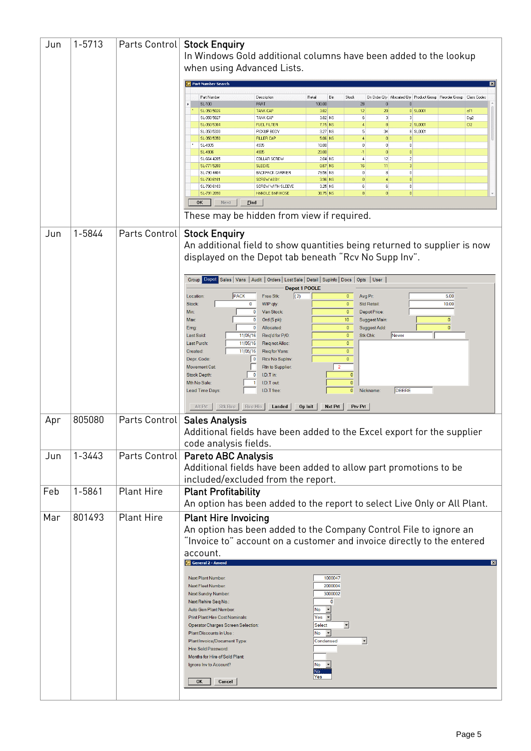| Jun | 1-5713 | Parts Control     | <b>Stock Enquiry</b><br>In Windows Gold additional columns have been added to the lookup<br>when using Advanced Lists.                                                             |
|-----|--------|-------------------|------------------------------------------------------------------------------------------------------------------------------------------------------------------------------------|
|     |        |                   | Part Number Search                                                                                                                                                                 |
|     |        |                   | Part Number<br>Description<br>Retail<br>Bin<br>Stock<br>On Order Qty Allocated Qty Product Group Reorder Group Class Codes                                                         |
|     |        |                   | SL-100<br>PART<br>100.00<br>$\bf{0}$<br>28<br>$\theta$<br><b>TANK CAP</b><br>3.82<br> 12 <br>20<br>0 SL0001<br>cF1<br>SL-350 5026                                                  |
|     |        |                   | $\vert$ 3<br>$\vert$ 3<br>TANK CAP<br>3.82 NS<br>Dg2<br>SL-350 5027<br> 6 <br>$\overline{4}$<br>Cf <sub>2</sub><br>SL-350 5304<br><b>FUEL FILTER</b><br>$7.15$ NS<br>8<br>2 SL0001 |
|     |        |                   | SL-350 5330<br>PICKUP BODY<br>3.27 NS<br>$\vert 5 \vert$<br>34<br>8 SL0001                                                                                                         |
|     |        |                   | SL-350 5350<br><b>FILLER CAP</b><br>$5.06$ NS<br>4<br>0<br>$\bf{0}$<br>SL-4935<br>4935<br>10.00<br> 0 <br>0<br> 0                                                                  |
|     |        |                   | SL-4936<br>4935<br>20.00<br>$\bf{0}$<br>$\mathbf{0}$<br>-1<br>$\vert 4 \vert$<br>12<br>$\overline{2}$<br>COLLAR SCREW<br>$2.04$ NS<br>SL-664 4205                                  |
|     |        |                   | 11<br>$\overline{3}$<br><b>SLEEVE</b><br>$0.67$ NS<br>SL-771 5200<br>16                                                                                                            |
|     |        |                   | 0 <br> 8 <br> 0 <br><b>BACKPACK CARRIER</b><br>SL-790 4404<br>79.56 NS<br>$\vert 0 \vert$<br> 0 <br>$\overline{4}$<br>SL-790 6101<br>SCREW ASSY.<br>$3.96$ NS                      |
|     |        |                   | $6 \mid$<br>$\vert 0 \vert$<br>SL-790 6103<br>SCREW WITH SLEEVE<br>$3.25$ NS<br>6 <br>SL-791 2090<br>HANDLE BAR HOSE<br>38.75 NS<br>8<br>$\bf{0}$<br> 0                            |
|     |        |                   | OK<br>Next<br><b>Eind</b>                                                                                                                                                          |
|     |        |                   | These may be hidden from view if required.                                                                                                                                         |
| Jun | 1-5844 | Parts Control     | <b>Stock Enquiry</b>                                                                                                                                                               |
|     |        |                   | An additional field to show quantities being returned to supplier is now<br>displayed on the Depot tab beneath "Rcv No Supp Inv".                                                  |
|     |        |                   | Group Depot Sales   Vans   Audit   Orders   Lost Sale   Detail   Supinfo   Docs   Opts   User<br>Depot 1 POOLE                                                                     |
|     |        |                   | PACK<br>(2)<br>$\mathbf{0}$<br>5.00<br>Free Stk:<br>Avg Pr.<br>Location:<br>$\mathbf{0}$<br>Std Retail:<br>10.00<br>Stock:<br>$\mathbf 0$<br>WIP qty:                              |
|     |        |                   | Depot Price:<br>$\mathbf{0}$<br>Van Stock:<br>$\mathbf{0}$<br>Min:                                                                                                                 |
|     |        |                   | Ord (5 pk):<br>10<br>Suggest Main:<br>$\bf{0}$<br><b>Max:</b><br>$\Omega$<br>$\pmb{0}$<br>$\mathbf{0}$<br>Suggest Add:<br>0<br>Allocated:<br>Emg:                                  |
|     |        |                   | Stk Chk:<br>11/05/16<br>Req'd for P/O:<br>$\mathbf{0}$<br>Never<br>Last Sold:                                                                                                      |
|     |        |                   | 11/05/16<br>Req not Alloc:<br>$\mathbf{0}$<br>Last Purch:<br>11/05/16<br>Req for Vans:<br>$\mathbf{0}$<br>Created:                                                                 |
|     |        |                   | $\mathbf{0}$<br>Depr. Code:<br>l 0<br><b>Rcv No Supinv</b><br>$\overline{2}$<br>Rtn to Supplier:<br><b>Movement Cat</b>                                                            |
|     |        |                   | I.D.T in:<br><b>Stock Depth:</b><br>$\overline{0}$<br>$\Omega$                                                                                                                     |
|     |        |                   | $\overline{0}$<br>Mth No Sale:<br>I.D.T out<br>DEERE<br>Lead Time Days:<br>I.D.T free:<br>$\pmb{0}$<br>Nickname:                                                                   |
|     |        |                   | Alt Prt<br>Stk Rec<br>Rec His<br>Landed  <br>Op Init<br>Nxt Prt<br>Prv Prt                                                                                                         |
| Apr | 805080 | Parts Control     | <b>Sales Analysis</b>                                                                                                                                                              |
|     |        |                   | Additional fields have been added to the Excel export for the supplier                                                                                                             |
|     |        |                   | code analysis fields.                                                                                                                                                              |
| Jun | 1-3443 | Parts Control     | <b>Pareto ABC Analysis</b>                                                                                                                                                         |
|     |        |                   | Additional fields have been added to allow part promotions to be                                                                                                                   |
|     |        |                   | included/excluded from the report.                                                                                                                                                 |
| Feb | 1-5861 | <b>Plant Hire</b> | <b>Plant Profitability</b>                                                                                                                                                         |
|     |        |                   | An option has been added to the report to select Live Only or All Plant.                                                                                                           |
| Mar | 801493 | <b>Plant Hire</b> | <b>Plant Hire Invoicing</b>                                                                                                                                                        |
|     |        |                   | An option has been added to the Company Control File to ignore an                                                                                                                  |
|     |        |                   | "Invoice to" account on a customer and invoice directly to the entered                                                                                                             |
|     |        |                   | account.<br>General 2 - Amend<br>⊠                                                                                                                                                 |
|     |        |                   |                                                                                                                                                                                    |
|     |        |                   | Next Plant Number:<br>1000047<br>2000004<br>Next Fleet Number:                                                                                                                     |
|     |        |                   | 3000002<br><b>Next Sundry Number:</b>                                                                                                                                              |
|     |        |                   | $\mathbf{0}$<br>Next Rehire Seq No.:<br>$\overline{ }$<br>No<br>Auto Gen Plant Number:                                                                                             |
|     |        |                   | Yes $\blacktriangledown$<br>Print Plant Hire Cost Nominals:                                                                                                                        |
|     |        |                   | $\overline{ }$<br>Select<br><b>Operator Charges Screen Selection:</b><br>$\overline{ }$<br>No<br>Plant Discounts in Use:                                                           |
|     |        |                   | ⊡<br>Plant Invoice/Document Type:<br>Condensed                                                                                                                                     |
|     |        |                   | Hire Sold Password:<br>Months for Hire of Sold Plant                                                                                                                               |
|     |        |                   | N <sub>o</sub><br>Ignore Inv to Account?<br>No                                                                                                                                     |
|     |        |                   | Yes<br>OK<br>Cancel                                                                                                                                                                |
|     |        |                   |                                                                                                                                                                                    |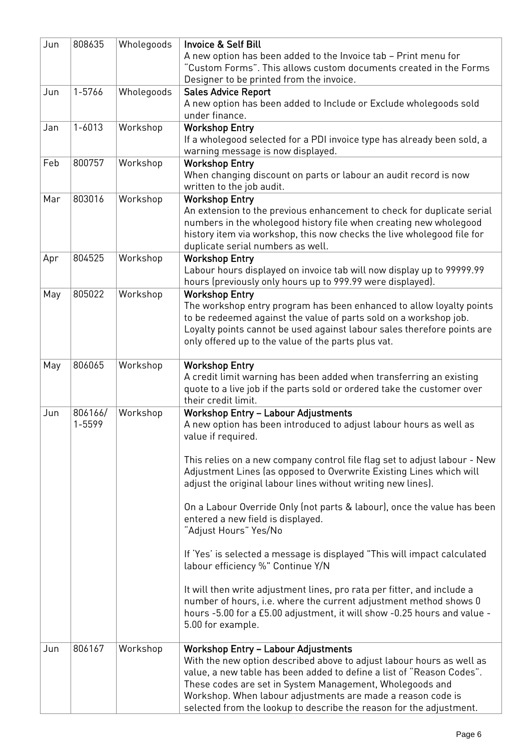| Jun | 808635            | Wholegoods | <b>Invoice &amp; Self Bill</b><br>A new option has been added to the Invoice tab - Print menu for<br>"Custom Forms". This allows custom documents created in the Forms<br>Designer to be printed from the invoice.                                                                                                                                                                                                                                                                                                                                                                                                                                                                                                                                                                                                                                                    |
|-----|-------------------|------------|-----------------------------------------------------------------------------------------------------------------------------------------------------------------------------------------------------------------------------------------------------------------------------------------------------------------------------------------------------------------------------------------------------------------------------------------------------------------------------------------------------------------------------------------------------------------------------------------------------------------------------------------------------------------------------------------------------------------------------------------------------------------------------------------------------------------------------------------------------------------------|
| Jun | 1-5766            | Wholegoods | <b>Sales Advice Report</b>                                                                                                                                                                                                                                                                                                                                                                                                                                                                                                                                                                                                                                                                                                                                                                                                                                            |
|     |                   |            | A new option has been added to Include or Exclude wholegoods sold<br>under finance.                                                                                                                                                                                                                                                                                                                                                                                                                                                                                                                                                                                                                                                                                                                                                                                   |
|     |                   |            |                                                                                                                                                                                                                                                                                                                                                                                                                                                                                                                                                                                                                                                                                                                                                                                                                                                                       |
| Jan | $1 - 6013$        | Workshop   | <b>Workshop Entry</b><br>If a wholegood selected for a PDI invoice type has already been sold, a<br>warning message is now displayed.                                                                                                                                                                                                                                                                                                                                                                                                                                                                                                                                                                                                                                                                                                                                 |
| Feb | 800757            | Workshop   | <b>Workshop Entry</b><br>When changing discount on parts or labour an audit record is now<br>written to the job audit.                                                                                                                                                                                                                                                                                                                                                                                                                                                                                                                                                                                                                                                                                                                                                |
|     |                   |            |                                                                                                                                                                                                                                                                                                                                                                                                                                                                                                                                                                                                                                                                                                                                                                                                                                                                       |
| Mar | 803016            | Workshop   | <b>Workshop Entry</b><br>An extension to the previous enhancement to check for duplicate serial<br>numbers in the wholegood history file when creating new wholegood<br>history item via workshop, this now checks the live wholegood file for<br>duplicate serial numbers as well.                                                                                                                                                                                                                                                                                                                                                                                                                                                                                                                                                                                   |
| Apr | 804525            | Workshop   | <b>Workshop Entry</b>                                                                                                                                                                                                                                                                                                                                                                                                                                                                                                                                                                                                                                                                                                                                                                                                                                                 |
|     |                   |            | Labour hours displayed on invoice tab will now display up to 99999.99<br>hours (previously only hours up to 999.99 were displayed).                                                                                                                                                                                                                                                                                                                                                                                                                                                                                                                                                                                                                                                                                                                                   |
| May | 805022            | Workshop   | <b>Workshop Entry</b><br>The workshop entry program has been enhanced to allow loyalty points<br>to be redeemed against the value of parts sold on a workshop job.<br>Loyalty points cannot be used against labour sales therefore points are<br>only offered up to the value of the parts plus vat.                                                                                                                                                                                                                                                                                                                                                                                                                                                                                                                                                                  |
| May | 806065            | Workshop   | <b>Workshop Entry</b><br>A credit limit warning has been added when transferring an existing<br>quote to a live job if the parts sold or ordered take the customer over<br>their credit limit.                                                                                                                                                                                                                                                                                                                                                                                                                                                                                                                                                                                                                                                                        |
| Jun | 806166/<br>1-5599 | Workshop   | <b>Workshop Entry - Labour Adjustments</b><br>A new option has been introduced to adjust labour hours as well as<br>value if required.<br>This relies on a new company control file flag set to adjust labour - New<br>Adjustment Lines (as opposed to Overwrite Existing Lines which will<br>adjust the original labour lines without writing new lines).<br>On a Labour Override Only (not parts & labour), once the value has been<br>entered a new field is displayed.<br>"Adjust Hours" Yes/No<br>If 'Yes' is selected a message is displayed "This will impact calculated<br>labour efficiency %" Continue Y/N<br>It will then write adjustment lines, pro rata per fitter, and include a<br>number of hours, i.e. where the current adjustment method shows 0<br>hours -5.00 for a £5.00 adjustment, it will show -0.25 hours and value -<br>5.00 for example. |
| Jun | 806167            | Workshop   | <b>Workshop Entry - Labour Adjustments</b><br>With the new option described above to adjust labour hours as well as<br>value, a new table has been added to define a list of "Reason Codes".<br>These codes are set in System Management, Wholegoods and<br>Workshop. When labour adjustments are made a reason code is<br>selected from the lookup to describe the reason for the adjustment.                                                                                                                                                                                                                                                                                                                                                                                                                                                                        |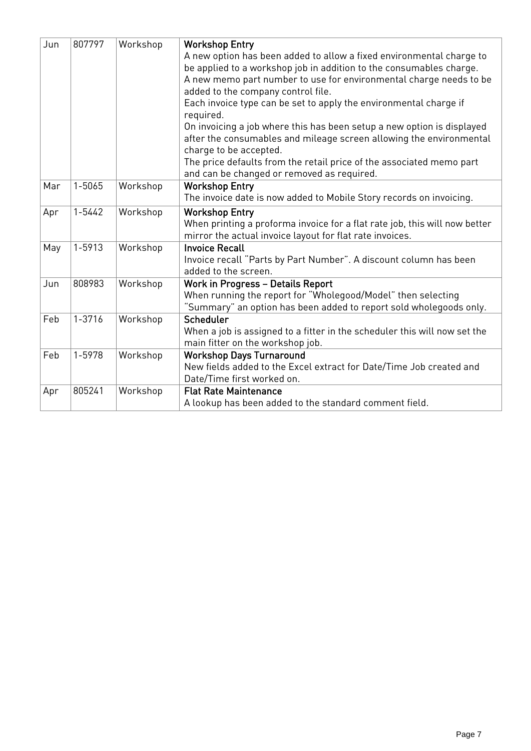| Jun | 807797     | Workshop | <b>Workshop Entry</b><br>A new option has been added to allow a fixed environmental charge to<br>be applied to a workshop job in addition to the consumables charge.<br>A new memo part number to use for environmental charge needs to be<br>added to the company control file.<br>Each invoice type can be set to apply the environmental charge if<br>required.<br>On invoicing a job where this has been setup a new option is displayed<br>after the consumables and mileage screen allowing the environmental<br>charge to be accepted.<br>The price defaults from the retail price of the associated memo part<br>and can be changed or removed as required. |
|-----|------------|----------|---------------------------------------------------------------------------------------------------------------------------------------------------------------------------------------------------------------------------------------------------------------------------------------------------------------------------------------------------------------------------------------------------------------------------------------------------------------------------------------------------------------------------------------------------------------------------------------------------------------------------------------------------------------------|
| Mar | 1-5065     | Workshop | <b>Workshop Entry</b><br>The invoice date is now added to Mobile Story records on invoicing.                                                                                                                                                                                                                                                                                                                                                                                                                                                                                                                                                                        |
| Apr | $1 - 5442$ | Workshop | <b>Workshop Entry</b><br>When printing a proforma invoice for a flat rate job, this will now better<br>mirror the actual invoice layout for flat rate invoices.                                                                                                                                                                                                                                                                                                                                                                                                                                                                                                     |
| May | 1-5913     | Workshop | <b>Invoice Recall</b><br>Invoice recall "Parts by Part Number". A discount column has been<br>added to the screen.                                                                                                                                                                                                                                                                                                                                                                                                                                                                                                                                                  |
| Jun | 808983     | Workshop | <b>Work in Progress - Details Report</b><br>When running the report for "Wholegood/Model" then selecting<br>"Summary" an option has been added to report sold wholegoods only.                                                                                                                                                                                                                                                                                                                                                                                                                                                                                      |
| Feb | 1-3716     | Workshop | Scheduler<br>When a job is assigned to a fitter in the scheduler this will now set the<br>main fitter on the workshop job.                                                                                                                                                                                                                                                                                                                                                                                                                                                                                                                                          |
| Feb | 1-5978     | Workshop | <b>Workshop Days Turnaround</b><br>New fields added to the Excel extract for Date/Time Job created and<br>Date/Time first worked on.                                                                                                                                                                                                                                                                                                                                                                                                                                                                                                                                |
| Apr | 805241     | Workshop | <b>Flat Rate Maintenance</b><br>A lookup has been added to the standard comment field.                                                                                                                                                                                                                                                                                                                                                                                                                                                                                                                                                                              |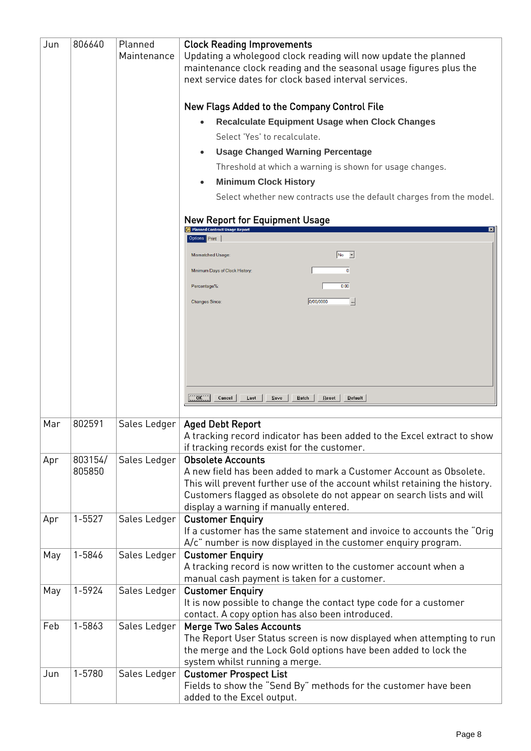| Jun | 806640     | Planned      | <b>Clock Reading Improvements</b>                                                                                                                                                            |
|-----|------------|--------------|----------------------------------------------------------------------------------------------------------------------------------------------------------------------------------------------|
|     |            | Maintenance  | Updating a wholegood clock reading will now update the planned<br>maintenance clock reading and the seasonal usage figures plus the<br>next service dates for clock based interval services. |
|     |            |              | New Flags Added to the Company Control File                                                                                                                                                  |
|     |            |              | <b>Recalculate Equipment Usage when Clock Changes</b>                                                                                                                                        |
|     |            |              |                                                                                                                                                                                              |
|     |            |              | Select 'Yes' to recalculate.                                                                                                                                                                 |
|     |            |              | <b>Usage Changed Warning Percentage</b>                                                                                                                                                      |
|     |            |              | Threshold at which a warning is shown for usage changes.                                                                                                                                     |
|     |            |              | <b>Minimum Clock History</b>                                                                                                                                                                 |
|     |            |              | Select whether new contracts use the default charges from the model.                                                                                                                         |
|     |            |              | <b>New Report for Equipment Usage</b>                                                                                                                                                        |
|     |            |              | Options <b>Print</b>                                                                                                                                                                         |
|     |            |              | $No$ $\rightarrow$<br>Mismatched Usage:                                                                                                                                                      |
|     |            |              |                                                                                                                                                                                              |
|     |            |              | Minimum Days of Clock History:                                                                                                                                                               |
|     |            |              | 0.00<br>Percentage%:                                                                                                                                                                         |
|     |            |              | ╝<br>0/00/0000<br><b>Changes Since:</b>                                                                                                                                                      |
|     |            |              |                                                                                                                                                                                              |
|     |            |              |                                                                                                                                                                                              |
|     |            |              |                                                                                                                                                                                              |
|     |            |              |                                                                                                                                                                                              |
|     |            |              |                                                                                                                                                                                              |
|     |            |              |                                                                                                                                                                                              |
|     |            |              | OK<br>Cancel<br>Last<br>$S$ ave<br>Batch<br>Reset<br>Default                                                                                                                                 |
| Mar | 802591     | Sales Ledger |                                                                                                                                                                                              |
|     |            |              | <b>Aged Debt Report</b><br>A tracking record indicator has been added to the Excel extract to show                                                                                           |
|     |            |              | if tracking records exist for the customer.                                                                                                                                                  |
| Apr | 803154/    | Sales Ledger | <b>Obsolete Accounts</b>                                                                                                                                                                     |
|     | 805850     |              | A new field has been added to mark a Customer Account as Obsolete.                                                                                                                           |
|     |            |              | This will prevent further use of the account whilst retaining the history.                                                                                                                   |
|     |            |              | Customers flagged as obsolete do not appear on search lists and will                                                                                                                         |
|     | $1 - 5527$ |              | display a warning if manually entered.                                                                                                                                                       |
| Apr |            | Sales Ledger | <b>Customer Enquiry</b><br>If a customer has the same statement and invoice to accounts the "Orig                                                                                            |
|     |            |              | A/c" number is now displayed in the customer enquiry program.                                                                                                                                |
| May | 1-5846     | Sales Ledger | <b>Customer Enquiry</b>                                                                                                                                                                      |
|     |            |              | A tracking record is now written to the customer account when a                                                                                                                              |
|     |            |              | manual cash payment is taken for a customer.                                                                                                                                                 |
| May | 1-5924     | Sales Ledger | <b>Customer Enquiry</b>                                                                                                                                                                      |
|     |            |              | It is now possible to change the contact type code for a customer                                                                                                                            |
|     |            |              | contact. A copy option has also been introduced.                                                                                                                                             |
| Feb | 1-5863     | Sales Ledger | <b>Merge Two Sales Accounts</b>                                                                                                                                                              |
|     |            |              | The Report User Status screen is now displayed when attempting to run<br>the merge and the Lock Gold options have been added to lock the                                                     |
|     |            |              | system whilst running a merge.                                                                                                                                                               |
| Jun | 1-5780     | Sales Ledger | <b>Customer Prospect List</b>                                                                                                                                                                |
|     |            |              | Fields to show the "Send By" methods for the customer have been                                                                                                                              |
|     |            |              | added to the Excel output.                                                                                                                                                                   |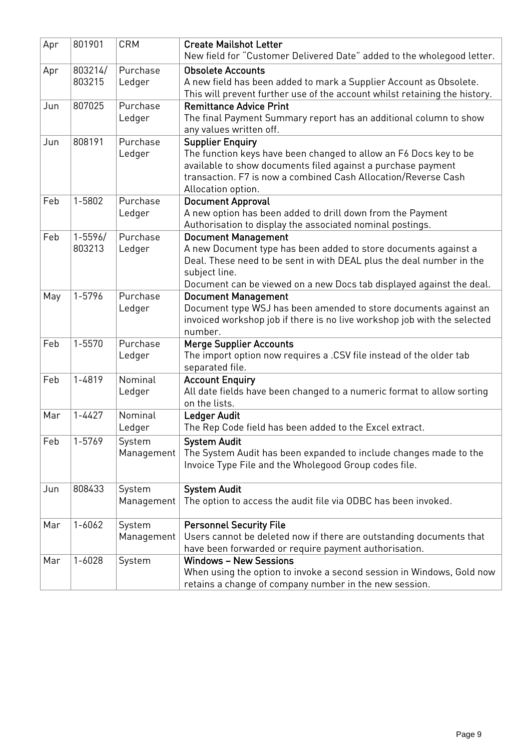| Apr | 801901                | <b>CRM</b>           | <b>Create Mailshot Letter</b><br>New field for "Customer Delivered Date" added to the wholegood letter.                                                                                                                                                        |
|-----|-----------------------|----------------------|----------------------------------------------------------------------------------------------------------------------------------------------------------------------------------------------------------------------------------------------------------------|
| Apr | 803214/<br>803215     | Purchase<br>Ledger   | <b>Obsolete Accounts</b><br>A new field has been added to mark a Supplier Account as Obsolete.<br>This will prevent further use of the account whilst retaining the history.                                                                                   |
| Jun | 807025                | Purchase<br>Ledger   | <b>Remittance Advice Print</b><br>The final Payment Summary report has an additional column to show<br>any values written off.                                                                                                                                 |
| Jun | 808191                | Purchase<br>Ledger   | <b>Supplier Enquiry</b><br>The function keys have been changed to allow an F6 Docs key to be<br>available to show documents filed against a purchase payment<br>transaction. F7 is now a combined Cash Allocation/Reverse Cash<br>Allocation option.           |
| Feb | 1-5802                | Purchase<br>Ledger   | <b>Document Approval</b><br>A new option has been added to drill down from the Payment<br>Authorisation to display the associated nominal postings.                                                                                                            |
| Feb | $1 - 5596/$<br>803213 | Purchase<br>Ledger   | <b>Document Management</b><br>A new Document type has been added to store documents against a<br>Deal. These need to be sent in with DEAL plus the deal number in the<br>subject line.<br>Document can be viewed on a new Docs tab displayed against the deal. |
| May | 1-5796                | Purchase<br>Ledger   | <b>Document Management</b><br>Document type WSJ has been amended to store documents against an<br>invoiced workshop job if there is no live workshop job with the selected<br>number.                                                                          |
| Feb | 1-5570                | Purchase<br>Ledger   | <b>Merge Supplier Accounts</b><br>The import option now requires a .CSV file instead of the older tab<br>separated file.                                                                                                                                       |
| Feb | 1-4819                | Nominal<br>Ledger    | <b>Account Enquiry</b><br>All date fields have been changed to a numeric format to allow sorting<br>on the lists.                                                                                                                                              |
| Mar | $1 - 4427$            | Nominal<br>Ledger    | <b>Ledger Audit</b><br>The Rep Code field has been added to the Excel extract.                                                                                                                                                                                 |
| Feb | 1-5769                | System<br>Management | <b>System Audit</b><br>The System Audit has been expanded to include changes made to the<br>Invoice Type File and the Wholegood Group codes file.                                                                                                              |
| Jun | 808433                | System<br>Management | <b>System Audit</b><br>The option to access the audit file via ODBC has been invoked.                                                                                                                                                                          |
| Mar | $1 - 6062$            | System<br>Management | <b>Personnel Security File</b><br>Users cannot be deleted now if there are outstanding documents that<br>have been forwarded or require payment authorisation.                                                                                                 |
| Mar | $1 - 6028$            | System               | <b>Windows - New Sessions</b><br>When using the option to invoke a second session in Windows, Gold now<br>retains a change of company number in the new session.                                                                                               |